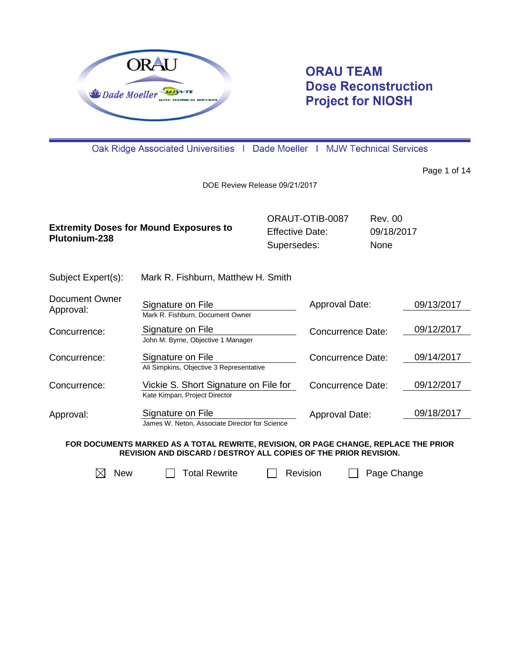

## **ORAU TEAM Dose Reconstruction Project for NIOSH**

Oak Ridge Associated Universities | Dade Moeller | MJW Technical Services

Page 1 of 14

DOE Review Release 09/21/2017

|                    |                                               | ORAUT-OTIB-0087        | Rev. 00 |  |
|--------------------|-----------------------------------------------|------------------------|---------|--|
| Plutonium-238      | <b>Extremity Doses for Mound Exposures to</b> | <b>Effective Date:</b> |         |  |
|                    |                                               | Supersedes:            | None    |  |
| Subject Expert(s): | Mark R. Fishburn, Matthew H. Smith            |                        |         |  |

| <b>Document Owner</b><br>Approval: | Signature on File<br>Mark R. Fishburn, Document Owner                  | Approval Date:    | 09/13/2017 |
|------------------------------------|------------------------------------------------------------------------|-------------------|------------|
| Concurrence:                       | Signature on File<br>John M. Byrne, Objective 1 Manager                | Concurrence Date: | 09/12/2017 |
| Concurrence:                       | Signature on File<br>Ali Simpkins, Objective 3 Representative          | Concurrence Date: | 09/14/2017 |
| Concurrence:                       | Vickie S. Short Signature on File for<br>Kate Kimpan, Project Director | Concurrence Date: | 09/12/2017 |
| Approval:                          | Signature on File<br>James W. Neton, Associate Director for Science    | Approval Date:    | 09/18/2017 |

**FOR DOCUMENTS MARKED AS A TOTAL REWRITE, REVISION, OR PAGE CHANGE, REPLACE THE PRIOR REVISION AND DISCARD / DESTROY ALL COPIES OF THE PRIOR REVISION.**

 $\boxtimes$  New  $\Box$  Total Rewrite  $\Box$  Revision  $\Box$  Page Change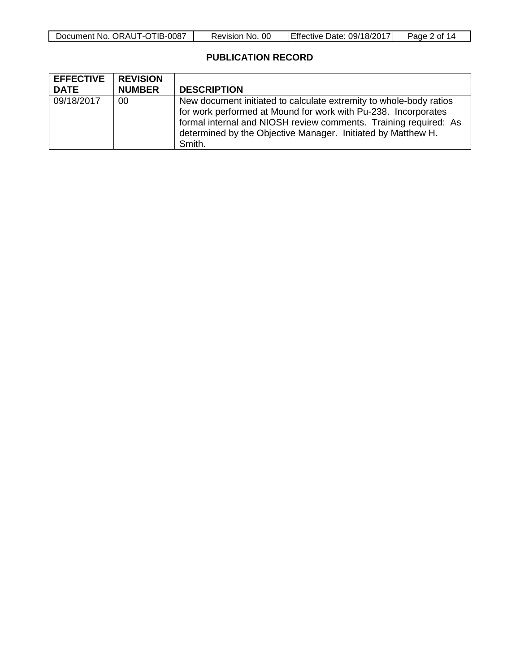| Document No.<br>ORAUT-OTIB-C<br>0087 | 00<br>No.<br>Revision | .09/18/2017<br>Date:<br>IEffective⊹ | ⊥ of ⊺<br>Paαe |
|--------------------------------------|-----------------------|-------------------------------------|----------------|

### **PUBLICATION RECORD**

| <b>EFFECTIVE</b><br><b>DATE</b> | <b>REVISION</b><br><b>NUMBER</b> | <b>DESCRIPTION</b>                                                                                                                                                                                                                                                                 |
|---------------------------------|----------------------------------|------------------------------------------------------------------------------------------------------------------------------------------------------------------------------------------------------------------------------------------------------------------------------------|
| 09/18/2017                      | 00                               | New document initiated to calculate extremity to whole-body ratios<br>for work performed at Mound for work with Pu-238. Incorporates<br>formal internal and NIOSH review comments. Training required: As<br>determined by the Objective Manager. Initiated by Matthew H.<br>Smith. |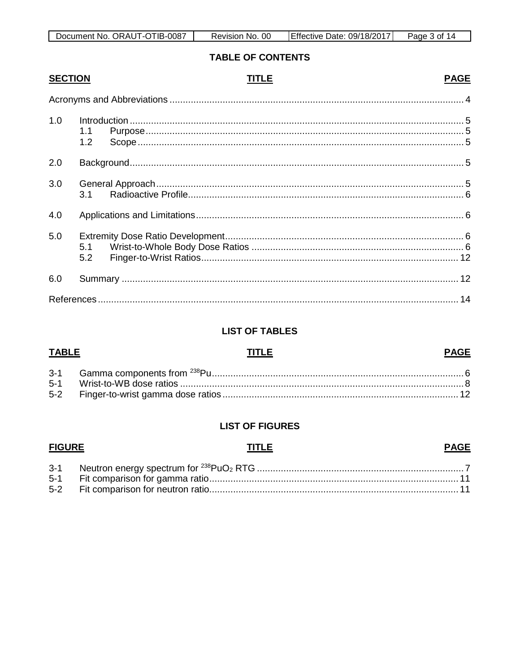| प।B-<br>-0087<br>Document No.<br>ORAU <sup>®</sup><br>' I -C | <sub>OC</sub><br>No.<br>Revision | $\ldots 09/18/201^-$<br>Date:<br>TEffective L | 3 Of<br>Page |
|--------------------------------------------------------------|----------------------------------|-----------------------------------------------|--------------|

### **TABLE OF CONTENTS**

### **SECTION**

### **TITLE**

### **PAGE**

| 1.0 | 1.1<br>1.2 |  |
|-----|------------|--|
| 2.0 |            |  |
| 3.0 |            |  |
| 4.0 |            |  |
| 5.0 | 5.2        |  |
| 6.0 |            |  |
|     |            |  |

### **LIST OF TABLES**

## **TABLE**

# **TITLE**

### **LIST OF FIGURES**

#### **FIGURE TITLE PAGE**  $3-1$ Neutron energy spectrum for <sup>238</sup>PuO<sub>2</sub> RTG  $\overline{7}$

### **PAGE**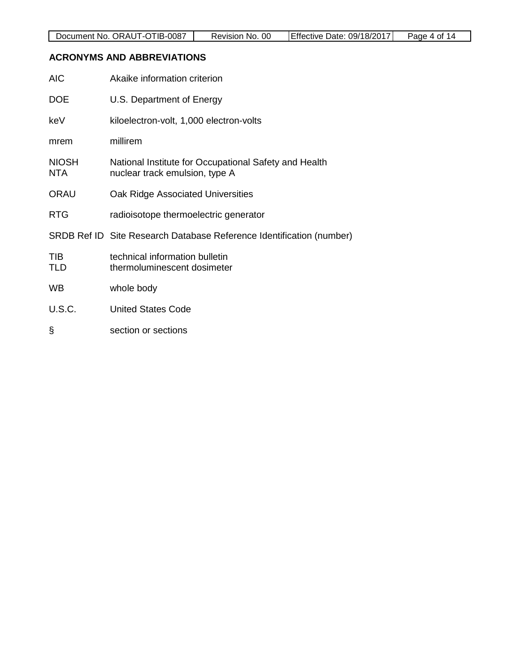#### <span id="page-3-0"></span>**ACRONYMS AND ABBREVIATIONS**

| <b>AIC</b>                 | Akaike information criterion                                                            |
|----------------------------|-----------------------------------------------------------------------------------------|
| <b>DOE</b>                 | U.S. Department of Energy                                                               |
| keV                        | kiloelectron-volt, 1,000 electron-volts                                                 |
| mrem                       | millirem                                                                                |
| <b>NIOSH</b><br><b>NTA</b> | National Institute for Occupational Safety and Health<br>nuclear track emulsion, type A |
| <b>ORAU</b>                | Oak Ridge Associated Universities                                                       |
| <b>RTG</b>                 | radioisotope thermoelectric generator                                                   |
|                            | SRDB Ref ID Site Research Database Reference Identification (number)                    |
| TIB<br>TLD                 | technical information bulletin<br>thermoluminescent dosimeter                           |
| WB                         | whole body                                                                              |
| U.S.C.                     | <b>United States Code</b>                                                               |
| §                          | section or sections                                                                     |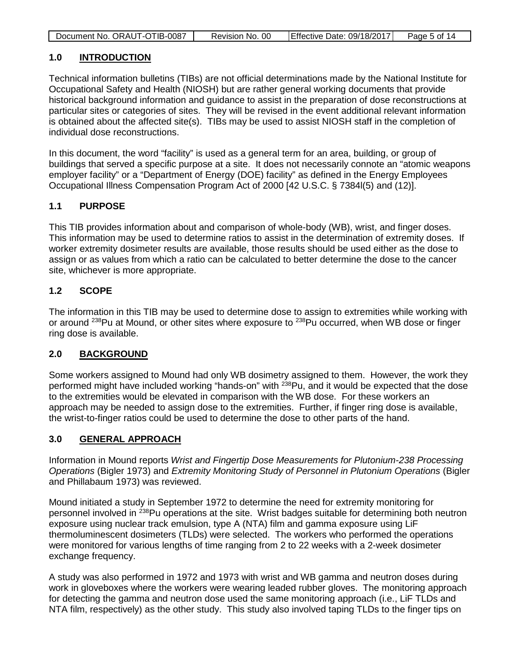| Document No. ORAUT-OTIB-0087 | Revision No. 00 | Effective Date: 09/18/2017 | Page 5 of 14 |
|------------------------------|-----------------|----------------------------|--------------|

#### <span id="page-4-0"></span>**1.0 INTRODUCTION**

Technical information bulletins (TIBs) are not official determinations made by the National Institute for Occupational Safety and Health (NIOSH) but are rather general working documents that provide historical background information and guidance to assist in the preparation of dose reconstructions at particular sites or categories of sites. They will be revised in the event additional relevant information is obtained about the affected site(s). TIBs may be used to assist NIOSH staff in the completion of individual dose reconstructions.

In this document, the word "facility" is used as a general term for an area, building, or group of buildings that served a specific purpose at a site. It does not necessarily connote an "atomic weapons employer facility" or a "Department of Energy (DOE) facility" as defined in the Energy Employees Occupational Illness Compensation Program Act of 2000 [42 U.S.C. § 7384l(5) and (12)].

### <span id="page-4-1"></span>**1.1 PURPOSE**

This TIB provides information about and comparison of whole-body (WB), wrist, and finger doses. This information may be used to determine ratios to assist in the determination of extremity doses. If worker extremity dosimeter results are available, those results should be used either as the dose to assign or as values from which a ratio can be calculated to better determine the dose to the cancer site, whichever is more appropriate.

#### <span id="page-4-2"></span>**1.2 SCOPE**

The information in this TIB may be used to determine dose to assign to extremities while working with or around <sup>238</sup>Pu at Mound, or other sites where exposure to <sup>238</sup>Pu occurred, when WB dose or finger ring dose is available.

### <span id="page-4-3"></span>**2.0 BACKGROUND**

Some workers assigned to Mound had only WB dosimetry assigned to them. However, the work they performed might have included working "hands-on" with <sup>238</sup>Pu, and it would be expected that the dose to the extremities would be elevated in comparison with the WB dose. For these workers an approach may be needed to assign dose to the extremities. Further, if finger ring dose is available, the wrist-to-finger ratios could be used to determine the dose to other parts of the hand.

#### <span id="page-4-4"></span>**3.0 GENERAL APPROACH**

Information in Mound reports *Wrist and Fingertip Dose Measurements for Plutonium-238 Processing Operations* (Bigler 1973) and *Extremity Monitoring Study of Personnel in Plutonium Operations* (Bigler and Phillabaum 1973) was reviewed.

Mound initiated a study in September 1972 to determine the need for extremity monitoring for personnel involved in <sup>238</sup>Pu operations at the site. Wrist badges suitable for determining both neutron exposure using nuclear track emulsion, type A (NTA) film and gamma exposure using LiF thermoluminescent dosimeters (TLDs) were selected. The workers who performed the operations were monitored for various lengths of time ranging from 2 to 22 weeks with a 2-week dosimeter exchange frequency.

A study was also performed in 1972 and 1973 with wrist and WB gamma and neutron doses during work in gloveboxes where the workers were wearing leaded rubber gloves. The monitoring approach for detecting the gamma and neutron dose used the same monitoring approach (i.e., LiF TLDs and NTA film, respectively) as the other study. This study also involved taping TLDs to the finger tips on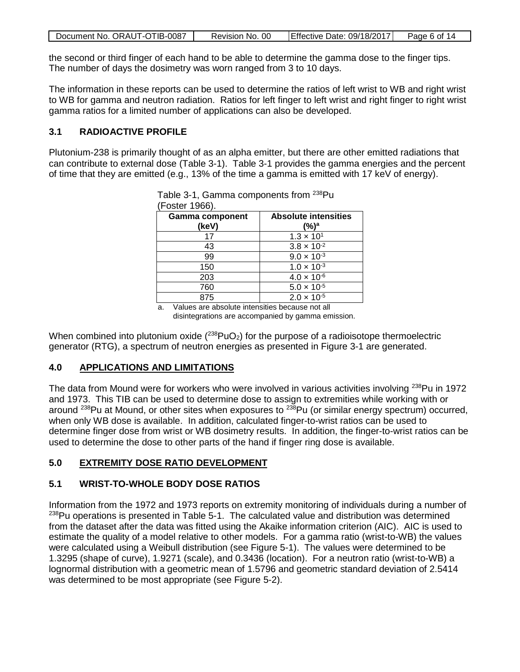| Document No. ORAUT-OTIB-0087 | Revision No. 00 | Effective Date: 09/18/2017 | Page 6 of 14 |
|------------------------------|-----------------|----------------------------|--------------|

the second or third finger of each hand to be able to determine the gamma dose to the finger tips. The number of days the dosimetry was worn ranged from 3 to 10 days.

The information in these reports can be used to determine the ratios of left wrist to WB and right wrist to WB for gamma and neutron radiation. Ratios for left finger to left wrist and right finger to right wrist gamma ratios for a limited number of applications can also be developed.

### <span id="page-5-0"></span>**3.1 RADIOACTIVE PROFILE**

Plutonium-238 is primarily thought of as an alpha emitter, but there are other emitted radiations that can contribute to external dose (Table 3-1). Table 3-1 provides the gamma energies and the percent of time that they are emitted (e.g., 13% of the time a gamma is emitted with 17 keV of energy).

| (Foster 1966).<br><b>Gamma component</b><br>(keV) | <b>Absolute intensities</b><br>(%)ª |
|---------------------------------------------------|-------------------------------------|
| 17                                                | $1.3 \times 10^{1}$                 |
| 43                                                | $3.8 \times 10^{-2}$                |
| 99                                                | $9.0 \times 10^{-3}$                |
| 150                                               | $1.0 \times 10^{-3}$                |
| 203                                               | $4.0 \times 10^{-6}$                |
| 760                                               | $5.0 \times 10^{-5}$                |
| 875                                               | $2.0 \times 10^{-5}$                |

<span id="page-5-4"></span>

|  | Table 3-1, Gamma components from <sup>238</sup> Pu |  |
|--|----------------------------------------------------|--|
|  |                                                    |  |

a. Values are absolute intensities because not all disintegrations are accompanied by gamma emission.

When combined into plutonium oxide  $(^{238}PuO_2)$  for the purpose of a radioisotope thermoelectric generator (RTG), a spectrum of neutron energies as presented in Figure 3-1 are generated.

### <span id="page-5-1"></span>**4.0 APPLICATIONS AND LIMITATIONS**

The data from Mound were for workers who were involved in various activities involving <sup>238</sup>Pu in 1972 and 1973. This TIB can be used to determine dose to assign to extremities while working with or around <sup>238</sup>Pu at Mound, or other sites when exposures to <sup>238</sup>Pu (or similar energy spectrum) occurred, when only WB dose is available. In addition, calculated finger-to-wrist ratios can be used to determine finger dose from wrist or WB dosimetry results. In addition, the finger-to-wrist ratios can be used to determine the dose to other parts of the hand if finger ring dose is available.

### <span id="page-5-2"></span>**5.0 EXTREMITY DOSE RATIO DEVELOPMENT**

### <span id="page-5-3"></span>**5.1 WRIST-TO-WHOLE BODY DOSE RATIOS**

Information from the 1972 and 1973 reports on extremity monitoring of individuals during a number of  $238$ Pu operations is presented in Table 5-1. The calculated value and distribution was determined from the dataset after the data was fitted using the Akaike information criterion (AIC). AIC is used to estimate the quality of a model relative to other models. For a gamma ratio (wrist-to-WB) the values were calculated using a Weibull distribution (see Figure 5-1). The values were determined to be 1.3295 (shape of curve), 1.9271 (scale), and 0.3436 (location). For a neutron ratio (wrist-to-WB) a lognormal distribution with a geometric mean of 1.5796 and geometric standard deviation of 2.5414 was determined to be most appropriate (see Figure 5-2).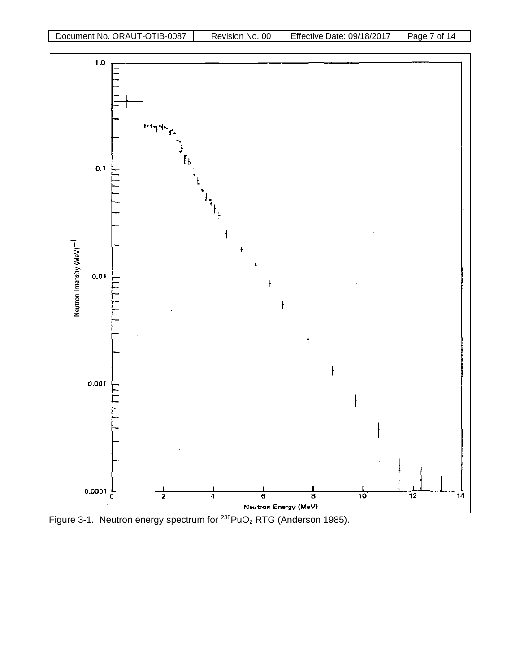

<span id="page-6-0"></span>Figure 3-1. Neutron energy spectrum for <sup>238</sup>PuO<sub>2</sub> RTG (Anderson 1985).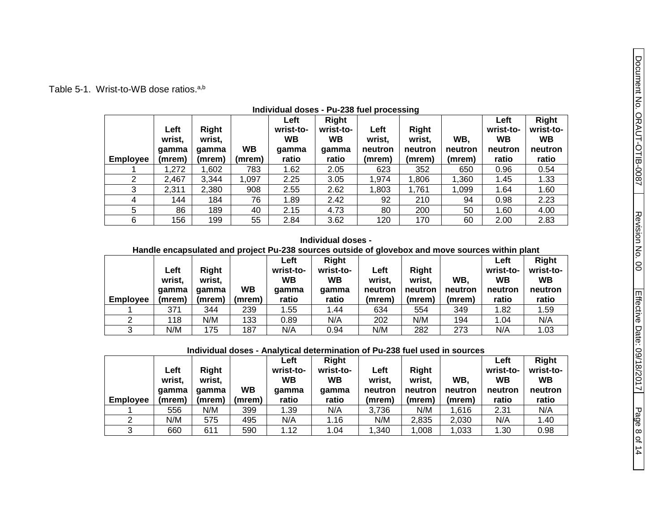### Table 5-1. Wrist-to-WB dose ratios.<sup>a,b</sup>

|                 |        |        |           | Left      | <b>Right</b> |         |         |         | Left      | <b>Right</b> |
|-----------------|--------|--------|-----------|-----------|--------------|---------|---------|---------|-----------|--------------|
|                 | Left   | Right  |           | wrist-to- | wrist-to-    | Left    | Right   |         | wrist-to- | wrist-to-    |
|                 | wrist, | wrist. |           | WВ        | <b>WB</b>    | wrist.  | wrist.  | WB.     | <b>WB</b> | WB           |
|                 | qamma  | aamma  | <b>WB</b> | gamma     | qamma        | neutron | neutron | neutron | neutron   | neutron      |
| <b>Employee</b> | (mrem) | (mrem) | (mrem)    | ratio     | ratio        | (mrem)  | (mrem)  | (mrem)  | ratio     | ratio        |
|                 | 1,272  | 1,602  | 783       | 1.62      | 2.05         | 623     | 352     | 650     | 0.96      | 0.54         |
| 2               | 2,467  | 3.344  | 1,097     | 2.25      | 3.05         | 1,974   | 1,806   | 1,360   | 1.45      | 1.33         |
| 3               | 2,311  | 2,380  | 908       | 2.55      | 2.62         | 1,803   | 1,761   | 1,099   | 1.64      | 1.60         |
| 4               | 144    | 184    | 76        | 1.89      | 2.42         | 92      | 210     | 94      | 0.98      | 2.23         |
| 5               | 86     | 189    | 40        | 2.15      | 4.73         | 80      | 200     | 50      | 1.60      | 4.00         |
| 6               | 156    | 199    | 55        | 2.84      | 3.62         | 120     | 170     | 60      | 2.00      | 2.83         |

#### **Individual doses - Pu-238 fuel processing**

#### **Individual doses -**

#### <span id="page-7-0"></span>**Handle encapsulated and project Pu-238 sources outside of glovebox and move sources within plant**

|                 | Left<br>wrist,<br>qamma | Right<br>wrist.<br>gamma | <b>WB</b> | Left<br>wrist-to-<br>WB<br>gamma | Right<br>wrist-to-<br><b>WB</b><br>qamma | Left<br>wrist,<br>neutron | <b>Right</b><br>wrist.<br>neutron | WB,<br>neutron | Left<br>wrist-to-<br><b>WB</b><br>neutron | Right<br>wrist-to-<br><b>WB</b><br>neutron |
|-----------------|-------------------------|--------------------------|-----------|----------------------------------|------------------------------------------|---------------------------|-----------------------------------|----------------|-------------------------------------------|--------------------------------------------|
| <b>Employee</b> | (mrem)                  | (mrem)                   | (mrem)    | ratio                            | ratio                                    | (mrem)                    | (mrem)                            | (mrem)         | ratio                                     | ratio                                      |
|                 | 371                     | 344                      | 239       | 1.55                             | 1.44                                     | 634                       | 554                               | 349            | 1.82                                      | 1.59                                       |
| າ               | 118                     | N/M                      | 133       | 0.89                             | N/A                                      | 202                       | N/M                               | 194            | 1.04                                      | N/A                                        |
|                 | N/M                     | 175                      | 187       | N/A                              | 0.94                                     | N/M                       | 282                               | 273            | N/A                                       | 1.03                                       |

#### **Individual doses - Analytical determination of Pu-238 fuel used in sources**

|                 | Left<br>wrist,<br>qamma | Right<br>wrist.<br>aamma | <b>WB</b> | Left<br>wrist-to-<br><b>WB</b><br>qamma | Right<br>wrist-to-<br><b>WB</b><br>gamma | Left<br>wrist.<br>neutron | <b>Right</b><br>wrist.<br>neutron | WB,<br>neutron | Left<br>wrist-to-<br>WB<br>neutron | <b>Right</b><br>wrist-to-<br><b>WB</b><br>neutron |
|-----------------|-------------------------|--------------------------|-----------|-----------------------------------------|------------------------------------------|---------------------------|-----------------------------------|----------------|------------------------------------|---------------------------------------------------|
| <b>Employee</b> | (mrem)                  | (mrem)                   | (mrem)    | ratio                                   | ratio                                    | (mrem)                    | (mrem)                            | (mrem)         | ratio                              | ratio                                             |
|                 | 556                     | N/M                      | 399       | 1.39                                    | N/A                                      | 3,736                     | N/M                               | 1,616          | 2.31                               | N/A                                               |
|                 | N/M                     | 575                      | 495       | N/A                                     | 1.16                                     | N/M                       | 2,835                             | 2,030          | N/A                                | 1.40                                              |
| 2               | 660                     | 611                      | 590       | 1.12                                    | 1.04                                     | 1,340                     | 1,008                             | 1,033          | 1.30                               | 0.98                                              |

Page 8

of 14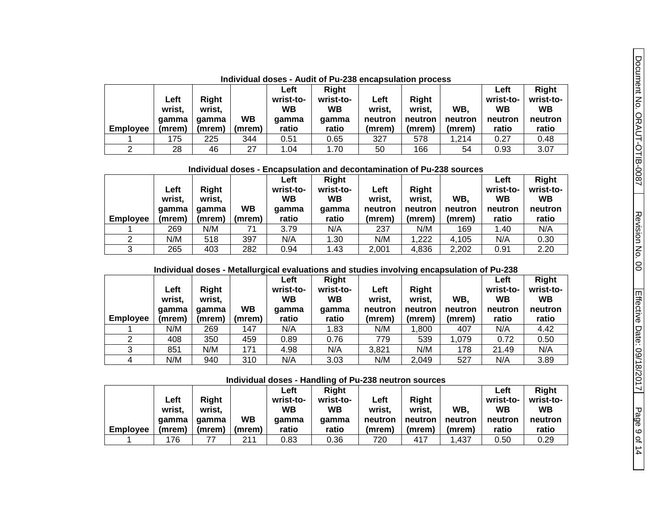Effective Date: 09/1 Effective Date: 09/18/2017

Page 9

of 14

|                 | Left<br>wrist.<br>qamma | Right<br>wrist,<br>aamma | <b>WB</b> | Left<br>wrist-to-<br>WВ<br>qamma | Right<br>wrist-to-<br><b>WB</b><br>qamma | Left<br>wrist.<br>neutron | Right<br>wrist.<br>neutron | WB.<br>neutron | Left<br>wrist-to-<br><b>WB</b><br>neutron | Right<br>wrist-to-<br><b>WB</b><br>neutron |
|-----------------|-------------------------|--------------------------|-----------|----------------------------------|------------------------------------------|---------------------------|----------------------------|----------------|-------------------------------------------|--------------------------------------------|
| <b>Employee</b> | (mrem)                  | (mrem)                   | (mrem)    | ratio                            | ratio                                    | (mrem)                    | (mrem)                     | (mrem)         | ratio                                     | ratio                                      |
|                 | 175                     | 225                      | 344       | 0.51                             | 0.65                                     | 327                       | 578                        | .214           | 0.27                                      | 0.48                                       |
|                 | 28                      | 46                       | 27        | 1.04                             | 1.70                                     | 50                        | 166                        | 54             | 0.93                                      | 3.07                                       |

**Individual doses - Audit of Pu-238 encapsulation process**

**Individual doses - Encapsulation and decontamination of Pu-238 sources**

|                 | Left<br>wrist.  | Right<br>wrist. | WB     | Left<br>wrist-to-<br><b>WB</b> | <b>Right</b><br>wrist-to-<br><b>WB</b> | Left<br>wrist,<br>neutron | Right<br>wrist.<br>neutron | WB.<br>neutron | Left<br>wrist-to-<br>WВ<br>neutron | <b>Right</b><br>wrist-to-<br><b>WB</b><br>neutron |
|-----------------|-----------------|-----------------|--------|--------------------------------|----------------------------------------|---------------------------|----------------------------|----------------|------------------------------------|---------------------------------------------------|
| <b>Employee</b> | qamma<br>(mrem) | gamma<br>(mrem) | (mrem) | gamma<br>ratio                 | qamma<br>ratio                         | (mrem)                    | (mrem)                     | (mrem)         | ratio                              | ratio                                             |
|                 | 269             | N/M             | 71     | 3.79                           | N/A                                    | 237                       | N/M                        | 169            | 1.40                               | N/A                                               |
|                 | N/M             | 518             | 397    | N/A                            | .30                                    | N/M                       | 1,222                      | 4.105          | N/A                                | 0.30                                              |
| 3               | 265             | 403             | 282    | 0.94                           | 1.43                                   | 2,001                     | 4,836                      | 2,202          | 0.91                               | 2.20                                              |

#### **Individual doses - Metallurgical evaluations and studies involving encapsulation of Pu-238**

| <b>Employee</b> | Left<br>wrist,<br>qamma<br>(mrem) | Right<br>wrist.<br>qamma<br>(mrem) | <b>WB</b><br>(mrem) | Left<br>wrist-to-<br><b>WB</b><br>qamma<br>ratio | Right<br>wrist-to-<br><b>WB</b><br>qamma<br>ratio | Left<br>wrist.<br>neutron<br>(mrem) | . .<br>Right<br>wrist.<br>neutron<br>(mrem) | WB.<br>neutron<br>(mrem) | Left<br>wrist-to-<br>WВ<br>neutron<br>ratio | <b>Right</b><br>wrist-to-<br><b>WB</b><br>neutron<br>ratio |
|-----------------|-----------------------------------|------------------------------------|---------------------|--------------------------------------------------|---------------------------------------------------|-------------------------------------|---------------------------------------------|--------------------------|---------------------------------------------|------------------------------------------------------------|
|                 | N/M                               | 269                                | 147                 | N/A                                              | 1.83                                              | N/M                                 | ,800                                        | 407                      | N/A                                         | 4.42                                                       |
|                 | 408                               | 350                                | 459                 | 0.89                                             | 0.76                                              | 779                                 | 539                                         | 1,079                    | 0.72                                        | 0.50                                                       |
|                 |                                   |                                    |                     |                                                  |                                                   |                                     |                                             |                          |                                             |                                                            |
| 3               | 851                               | N/M                                | 171                 | 4.98                                             | N/A                                               | 3,821                               | N/M                                         | 178                      | 21.49                                       | N/A                                                        |
| 4               | N/M                               | 940                                | 310                 | N/A                                              | 3.03                                              | N/M                                 | 2,049                                       | 527                      | N/A                                         | 3.89                                                       |

**Individual doses - Handling of Pu-238 neutron sources**

|          |        |              |           | Left      | <b>Right</b> |         |              |         | Left      | <b>Right</b> |
|----------|--------|--------------|-----------|-----------|--------------|---------|--------------|---------|-----------|--------------|
|          | Left   | <b>Right</b> |           | wrist-to- | wrist-to-    | Left    | <b>Right</b> |         | wrist-to- | wrist-to-    |
|          | wrist. | wrist.       |           | <b>WB</b> | <b>WB</b>    | wrist.  | wrist.       | WB,     | WB        | WВ           |
|          | qamma  | qamma        | <b>WB</b> | gamma     | aamma        | neutron | neutron      | neutron | neutron   | neutron      |
| Emplovee | (mrem) | (mrem)       | (mrem)    | ratio     | ratio        | (mrem)  | (mrem)       | (mrem)  | ratio     | ratio        |
|          | 176    |              | 211       | 0.83      | 0.36         | 720     | 417          | .437    | 0.50      | 0.29         |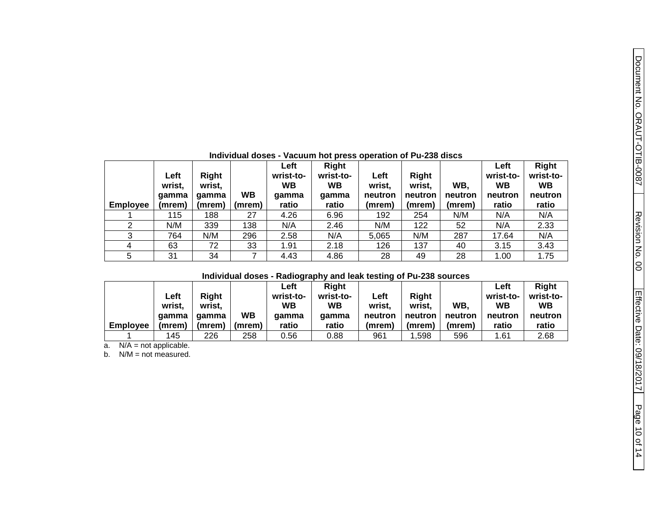| <b>Employee</b> | Left<br>wrist,<br>qamma<br>(mrem) | Right<br>wrist.<br>qamma<br>(mrem) | <b>WB</b><br>(mrem) | Left<br>wrist-to-<br><b>WB</b><br>qamma<br>ratio | <b>Right</b><br>wrist-to-<br><b>WB</b><br>qamma<br>ratio | Left<br>wrist.<br>neutron<br>(mrem) | <b>Right</b><br>wrist.<br>neutron<br>(mrem) | WB.<br>neutron<br>(mrem) | Left<br>wrist-to-<br>WВ<br>neutron<br>ratio | <b>Right</b><br>wrist-to-<br><b>WB</b><br>neutron<br>ratio |
|-----------------|-----------------------------------|------------------------------------|---------------------|--------------------------------------------------|----------------------------------------------------------|-------------------------------------|---------------------------------------------|--------------------------|---------------------------------------------|------------------------------------------------------------|
|                 | 115                               | 188                                | 27                  | 4.26                                             | 6.96                                                     | 192                                 | 254                                         | N/M                      | N/A                                         | N/A                                                        |
| 2               | N/M                               | 339                                | 138                 | N/A                                              | 2.46                                                     | N/M                                 | 122                                         | 52                       | N/A                                         | 2.33                                                       |
| 3               | 764                               | N/M                                | 296                 | 2.58                                             | N/A                                                      | 5.065                               | N/M                                         | 287                      | 17.64                                       | N/A                                                        |
| 4               | 63                                | 72                                 | 33                  | 1.91                                             | 2.18                                                     | 126                                 | 137                                         | 40                       | 3.15                                        | 3.43                                                       |
| 5               | 31                                | 34                                 |                     | 4.43                                             | 4.86                                                     | 28                                  | 49                                          | 28                       | 1.00                                        | 1.75                                                       |

#### **Individual doses - Vacuum hot press operation of Pu-238 discs**

#### **Individual doses - Radiography and leak testing of Pu-238 sources**

|                 |        |        |           | Left      | Right     |         |         |         | Left      | Right     |
|-----------------|--------|--------|-----------|-----------|-----------|---------|---------|---------|-----------|-----------|
|                 | Left   | Right  |           | wrist-to- | wrist-to- | Left    | Right   |         | wrist-to- | wrist-to- |
|                 | wrist. | wrist, |           | <b>WB</b> | <b>WB</b> | wrist,  | wrist.  | WB.     | <b>WB</b> | <b>WB</b> |
|                 | qamma  | aamma  | <b>WB</b> | qamma     | qamma     | neutron | neutron | neutron | neutron   | neutron   |
| <b>Employee</b> | (mrem) | (mrem) | (mrem)    | ratio     | ratio     | (mrem)  | (mrem)  | (mrem)  | ratio     | ratio     |
|                 | 145    | 226    | 258       | 0.56      | 0.88      | 961     | ,598    | 596     | 1.61      | 2.68      |

a. N/A = not applicable.

b. N/M = not measured.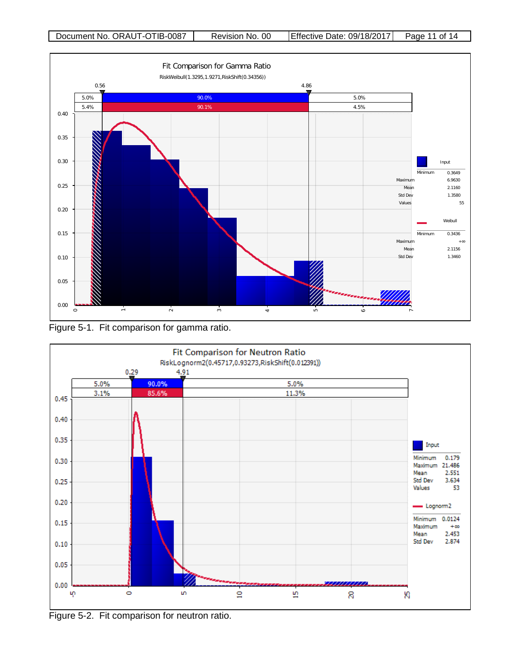

<span id="page-10-0"></span>Figure 5-1. Fit comparison for gamma ratio.



<span id="page-10-1"></span>Figure 5-2. Fit comparison for neutron ratio.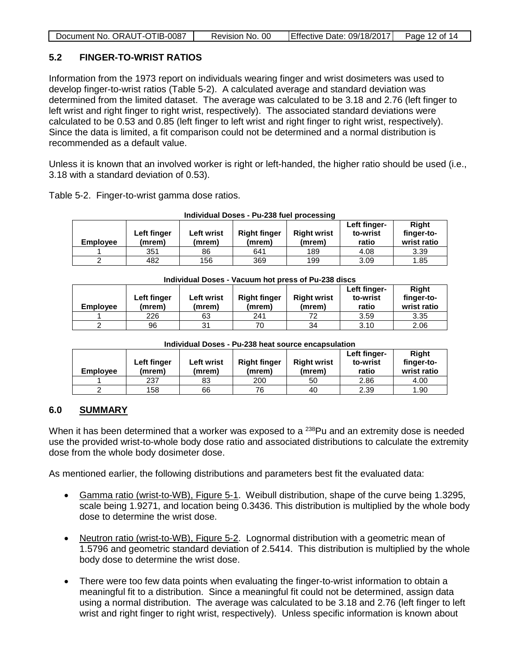| Document No. ORAUT-OTIB-0087<br>Effective Date: 09/18/2017<br>Page 12 of 14<br>Revision No. 00 |
|------------------------------------------------------------------------------------------------|
|------------------------------------------------------------------------------------------------|

### <span id="page-11-0"></span>**5.2 FINGER-TO-WRIST RATIOS**

Information from the 1973 report on individuals wearing finger and wrist dosimeters was used to develop finger-to-wrist ratios (Table 5-2). A calculated average and standard deviation was determined from the limited dataset. The average was calculated to be 3.18 and 2.76 (left finger to left wrist and right finger to right wrist, respectively). The associated standard deviations were calculated to be 0.53 and 0.85 (left finger to left wrist and right finger to right wrist, respectively). Since the data is limited, a fit comparison could not be determined and a normal distribution is recommended as a default value.

Unless it is known that an involved worker is right or left-handed, the higher ratio should be used (i.e., 3.18 with a standard deviation of 0.53).

|                 | Individual Doses - Pu-238 fuel processing |                      |                               |                              |                                   |                                    |  |  |  |  |  |  |  |
|-----------------|-------------------------------------------|----------------------|-------------------------------|------------------------------|-----------------------------------|------------------------------------|--|--|--|--|--|--|--|
| <b>Employee</b> | Left finger<br>(mrem)                     | Left wrist<br>(mrem) | <b>Right finger</b><br>(mrem) | <b>Right wrist</b><br>(mrem) | Left finger-<br>to-wrist<br>ratio | Right<br>finger-to-<br>wrist ratio |  |  |  |  |  |  |  |
|                 | 351                                       | 86                   | 641                           | 189                          | 4.08                              | 3.39                               |  |  |  |  |  |  |  |
|                 | 482                                       | 156                  | 369                           | 199                          | 3.09                              | 1.85                               |  |  |  |  |  |  |  |

#### Table 5-2. Finger-to-wrist gamma dose ratios.

#### <span id="page-11-2"></span>**Individual Doses - Vacuum hot press of Pu-238 discs**

| <b>Employee</b> | <b>Left finger</b><br>(mrem) | Left wrist<br>(mrem) | <b>Right finger</b><br>(mrem) | <b>Right wrist</b><br>(mrem) | Left finger-<br>to-wrist<br>ratio | <b>Right</b><br>finger-to-<br>wrist ratio |
|-----------------|------------------------------|----------------------|-------------------------------|------------------------------|-----------------------------------|-------------------------------------------|
|                 | 226                          | 63                   | 241                           | 72                           | 3.59                              | 3.35                                      |
|                 | 96                           | 31                   | 70                            | 34                           | 3.10                              | 2.06                                      |

| <b>Employee</b> | Left finger<br>(mrem) | <b>Left wrist</b><br>(mrem) | <b>Right finger</b><br>(mrem) | <b>Right wrist</b><br>(mrem) | Left finger-<br>to-wrist<br>ratio | <b>Right</b><br>finger-to-<br>wrist ratio |
|-----------------|-----------------------|-----------------------------|-------------------------------|------------------------------|-----------------------------------|-------------------------------------------|
|                 | 237                   | 83                          | 200                           | 50                           | 2.86                              | 4.00                                      |
|                 | 158                   | 66                          | 76                            | 40                           | 2.39                              | 1.90                                      |

#### **Individual Doses - Pu-238 heat source encapsulation**

#### <span id="page-11-1"></span>**6.0 SUMMARY**

When it has been determined that a worker was exposed to a <sup>238</sup>Pu and an extremity dose is needed use the provided wrist-to-whole body dose ratio and associated distributions to calculate the extremity dose from the whole body dosimeter dose.

As mentioned earlier, the following distributions and parameters best fit the evaluated data:

- Gamma ratio (wrist-to-WB), Figure 5-1. Weibull distribution, shape of the curve being 1.3295, scale being 1.9271, and location being 0.3436. This distribution is multiplied by the whole body dose to determine the wrist dose.
- Neutron ratio (wrist-to-WB), Figure 5-2. Lognormal distribution with a geometric mean of 1.5796 and geometric standard deviation of 2.5414. This distribution is multiplied by the whole body dose to determine the wrist dose.
- There were too few data points when evaluating the finger-to-wrist information to obtain a meaningful fit to a distribution. Since a meaningful fit could not be determined, assign data using a normal distribution. The average was calculated to be 3.18 and 2.76 (left finger to left wrist and right finger to right wrist, respectively). Unless specific information is known about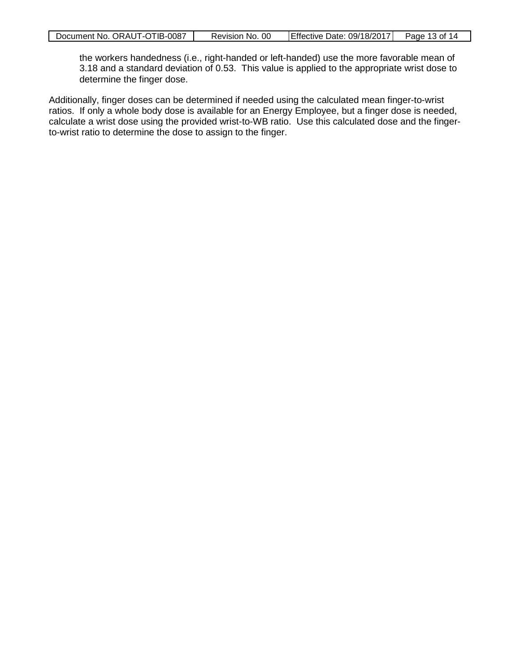the workers handedness (i.e., right-handed or left-handed) use the more favorable mean of 3.18 and a standard deviation of 0.53. This value is applied to the appropriate wrist dose to determine the finger dose.

Additionally, finger doses can be determined if needed using the calculated mean finger-to-wrist ratios. If only a whole body dose is available for an Energy Employee, but a finger dose is needed, calculate a wrist dose using the provided wrist-to-WB ratio. Use this calculated dose and the fingerto-wrist ratio to determine the dose to assign to the finger.